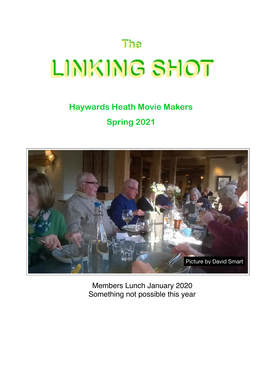# **The LINKING SHOT**

## **Haywards Heath Movie Makers Spring 2021**



Members Lunch January 2020 Something not possible this year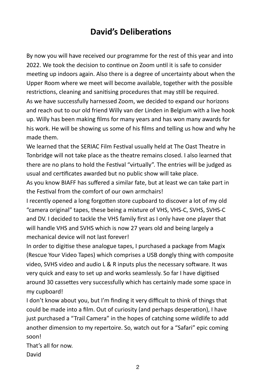#### **David's Deliberations**

By now you will have received our programme for the rest of this year and into 2022. We took the decision to continue on  $700$  until it is safe to consider meeting up indoors again. Also there is a degree of uncertainty about when the Upper Room where we meet will become available, together with the possible restrictions, cleaning and sanitising procedures that may still be required. As we have successfully harnessed Zoom, we decided to expand our horizons and reach out to our old friend Willy van der Linden in Belgium with a live hook up. Willy has been making films for many years and has won many awards for his work. He will be showing us some of his films and telling us how and why he made them.

We learned that the SERIAC Film Festival usually held at The Oast Theatre in Tonbridge will not take place as the theatre remains closed. I also learned that there are no plans to hold the Festival "virtually". The entries will be judged as usual and certificates awarded but no public show will take place.

As you know BIAFF has suffered a similar fate, but at least we can take part in the Festival from the comfort of our own armchairs!

I recently opened a long forgotten store cupboard to discover a lot of my old "camera original" tapes, these being a mixture of VHS, VHS-C, SVHS, SVHS-C and DV. I decided to tackle the VHS family first as I only have one player that will handle VHS and SVHS which is now 27 years old and being largely a mechanical device will not last forever!

In order to digitise these analogue tapes, I purchased a package from Magix (Rescue Your Video Tapes) which comprises a USB dongly thing with composite video, SVHS video and audio L & R inputs plus the necessary software. It was very quick and easy to set up and works seamlessly. So far I have digitised around 30 cassettes very successfully which has certainly made some space in my cupboard!

I don't know about you, but I'm finding it very difficult to think of things that could be made into a film. Out of curiosity (and perhaps desperation), I have just purchased a "Trail Camera" in the hopes of catching some wildlife to add another dimension to my repertoire. So, watch out for a "Safari" epic coming soon! 

That's all for now. David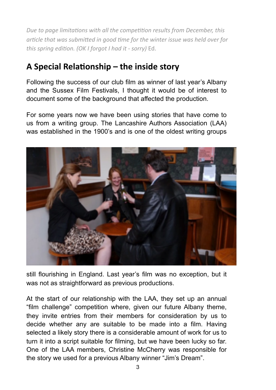*Due to page limitations with all the competition results from December, this article that was submitted in good time for the winter issue was held over for this spring edition. (OK I forgot I had it - sorry)* Ed.

#### A Special Relationship – the inside story

Following the success of our club film as winner of last year's Albany and the Sussex Film Festivals, I thought it would be of interest to document some of the background that affected the production.

For some years now we have been using stories that have come to us from a writing group. The Lancashire Authors Association (LAA) was established in the 1900's and is one of the oldest writing groups



still flourishing in England. Last year's film was no exception, but it was not as straightforward as previous productions.

At the start of our relationship with the LAA, they set up an annual "film challenge" competition where, given our future Albany theme, they invite entries from their members for consideration by us to decide whether any are suitable to be made into a film. Having selected a likely story there is a considerable amount of work for us to turn it into a script suitable for filming, but we have been lucky so far. One of the LAA members, Christine McCherry was responsible for the story we used for a previous Albany winner "Jim's Dream".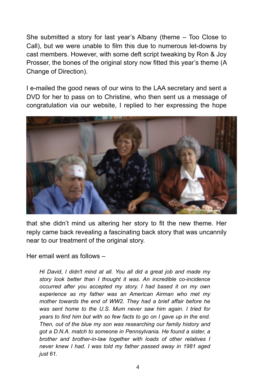She submitted a story for last year's Albany (theme – Too Close to Call), but we were unable to film this due to numerous let-downs by cast members. However, with some deft script tweaking by Ron & Joy Prosser, the bones of the original story now fitted this year's theme (A Change of Direction).

I e-mailed the good news of our wins to the LAA secretary and sent a DVD for her to pass on to Christine, who then sent us a message of congratulation via our website, I replied to her expressing the hope



that she didn't mind us altering her story to fit the new theme. Her reply came back revealing a fascinating back story that was uncannily near to our treatment of the original story.

Her email went as follows –

*Hi David, I didn't mind at all. You all did a great job and made my story look better than I thought it was. An incredible co-incidence occurred after you accepted my story. I had based it on my own experience as my father was an American Airman who met my mother towards the end of WW2. They had a brief affair before he was sent home to the U.S. Mum never saw him again. I tried for years to find him but with so few facts to go on I gave up in the end. Then, out of the blue my son was researching our family history and got a D.N.A. match to someone in Pennsylvania. He found a sister, a brother and brother-in-law together with loads of other relatives I never knew I had. I was told my father passed away in 1981 aged just 61.*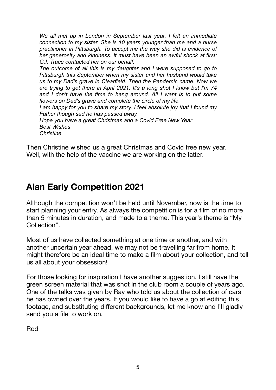*We all met up in London in September last year. I felt an immediate connection to my sister. She is 10 years younger than me and a nurse practitioner in Pittsburgh. To accept me the way she did is evidence of her generosity and kindness. It must have been an awful shock at first; G.I. Trace contacted her on our behalf.* 

*The outcome of all this is my daughter and I were supposed to go to Pittsburgh this September when my sister and her husband would take us to my Dad's grave in Clearfield. Then the Pandemic came. Now we are trying to get there in April 2021. It's a long shot I know but I'm 74*  and I don't have the time to hang around. All I want is to put some *flowers on Dad's grave and complete the circle of my life.* 

*I am happy for you to share my story. I feel absolute joy that I found my Father though sad he has passed away.* 

*Hope you have a great Christmas and a Covid Free New Year Best Wishes Christine* 

Then Christine wished us a great Christmas and Covid free new year.

#### Well, with the help of the vaccine we are working on the latter.

### **Alan Early Competition 2021**

Although the competition won't be held until November, now is the time to start planning your entry. As always the competition is for a film of no more than 5 minutes in duration, and made to a theme. This year's theme is "My Collection".

Most of us have collected something at one time or another, and with another uncertain year ahead, we may not be travelling far from home. It might therefore be an ideal time to make a film about your collection, and tell us all about your obsession!

For those looking for inspiration I have another suggestion. I still have the green screen material that was shot in the club room a couple of years ago. One of the talks was given by Ray who told us about the collection of cars he has owned over the years. If you would like to have a go at editing this footage, and substituting different backgrounds, let me know and I'll gladly send you a file to work on.

Rod